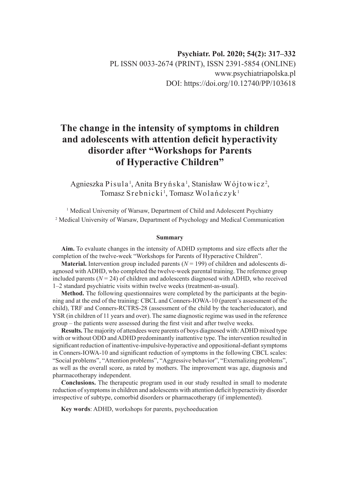# **The change in the intensity of symptoms in children and adolescents with attention deficit hyperactivity disorder after "Workshops for Parents of Hyperactive Children"**

Agnieszka Pisula <sup>1</sup>, Anita Bryńska <sup>1</sup>, Stanisław Wójtowicz <sup>2</sup>, Tomasz Srebnicki<sup>1</sup>, Tomasz Wolańczyk<sup>1</sup>

<sup>1</sup> Medical University of Warsaw, Department of Child and Adolescent Psychiatry 2 Medical University of Warsaw, Department of Psychology and Medical Communication

#### **Summary**

**Aim.** To evaluate changes in the intensity of ADHD symptoms and size effects after the completion of the twelve-week "Workshops for Parents of Hyperactive Children".

**Material.** Intervention group included parents  $(N = 199)$  of children and adolescents diagnosed with ADHD, who completed the twelve-week parental training. The reference group included parents  $(N = 24)$  of children and adolescents diagnosed with ADHD, who received 1–2 standard psychiatric visits within twelve weeks (treatment-as-usual).

**Method.** The following questionnaires were completed by the participants at the beginning and at the end of the training: CBCL and Conners-IOWA-10 (parent's assessment of the child), TRF and Conners-RCTRS-28 (assessment of the child by the teacher/educator), and YSR (in children of 11 years and over). The same diagnostic regime was used in the reference group – the patients were assessed during the first visit and after twelve weeks.

**Results.** The majority of attendees were parents of boys diagnosed with: ADHD mixed type with or without ODD and ADHD predominantly inattentive type. The intervention resulted in significant reduction of inattentive-impulsive-hyperactive and oppositional-defiant symptoms in Conners-IOWA-10 and significant reduction of symptoms in the following CBCL scales: "Social problems", "Attention problems", "Aggressive behavior", "Externalizing problems", as well as the overall score, as rated by mothers. The improvement was age, diagnosis and pharmacotherapy independent.

**Conclusions.** The therapeutic program used in our study resulted in small to moderate reduction of symptoms in children and adolescents with attention deficit hyperactivity disorder irrespective of subtype, comorbid disorders or pharmacotherapy (if implemented).

**Key words**: ADHD, workshops for parents, psychoeducation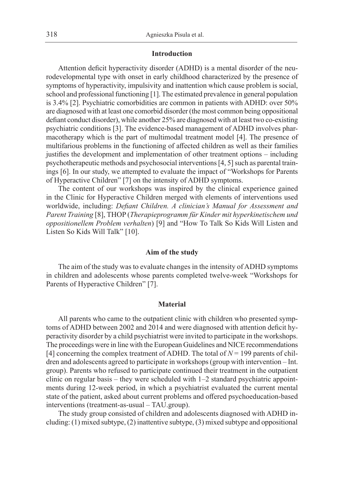## **Introduction**

Attention deficit hyperactivity disorder (ADHD) is a mental disorder of the neurodevelopmental type with onset in early childhood characterized by the presence of symptoms of hyperactivity, impulsivity and inattention which cause problem is social, school and professional functioning [1]. The estimated prevalence in general population is 3.4% [2]. Psychiatric comorbidities are common in patients with ADHD: over 50% are diagnosed with at least one comorbid disorder (the most common being oppositional defiant conduct disorder), while another 25% are diagnosed with at least two co-existing psychiatric conditions [3]. The evidence-based management of ADHD involves pharmacotherapy which is the part of multimodal treatment model [4]. The presence of multifarious problems in the functioning of affected children as well as their families justifies the development and implementation of other treatment options – including psychotherapeutic methods and psychosocial interventions [4, 5] such as parental trainings [6]. In our study, we attempted to evaluate the impact of "Workshops for Parents of Hyperactive Children" [7] on the intensity of ADHD symptoms.

The content of our workshops was inspired by the clinical experience gained in the Clinic for Hyperactive Children merged with elements of interventions used worldwide, including: *Defiant Children. A clinician's Manual for Assessment and Parent Training* [8], THOP (*Therapieprogramm für Kinder mit hyperkinetischem und oppositionellem Problem verhalten*) [9] and "How To Talk So Kids Will Listen and Listen So Kids Will Talk" [10].

#### **Aim of the study**

The aim of the study was to evaluate changes in the intensity of ADHD symptoms in children and adolescents whose parents completed twelve-week "Workshops for Parents of Hyperactive Children" [7].

#### **Material**

All parents who came to the outpatient clinic with children who presented symptoms of ADHD between 2002 and 2014 and were diagnosed with attention deficit hyperactivity disorder by a child psychiatrist were invited to participate in the workshops. The proceedings were in line with the European Guidelines and NICE recommendations [4] concerning the complex treatment of ADHD. The total of  $N = 199$  parents of children and adolescents agreed to participate in workshops (group with intervention – Int. group). Parents who refused to participate continued their treatment in the outpatient clinic on regular basis – they were scheduled with 1–2 standard psychiatric appointments during 12-week period, in which a psychiatrist evaluated the current mental state of the patient, asked about current problems and offered psychoeducation-based interventions (treatment-as-usual – TAU.group).

The study group consisted of children and adolescents diagnosed with ADHD including: (1) mixed subtype, (2) inattentive subtype, (3) mixed subtype and oppositional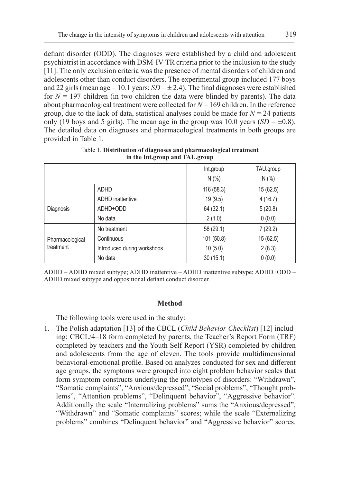defiant disorder (ODD). The diagnoses were established by a child and adolescent psychiatrist in accordance with DSM-IV-TR criteria prior to the inclusion to the study [11]. The only exclusion criteria was the presence of mental disorders of children and adolescents other than conduct disorders. The experimental group included 177 boys and 22 girls (mean age = 10.1 years;  $SD = \pm 2.4$ ). The final diagnoses were established for  $N = 197$  children (in two children the data were blinded by parents). The data about pharmacological treatment were collected for  $N = 169$  children. In the reference group, due to the lack of data, statistical analyses could be made for  $N = 24$  patients only (19 boys and 5 girls). The mean age in the group was 10.0 years  $(SD = \pm 0.8)$ . The detailed data on diagnoses and pharmacological treatments in both groups are provided in Table 1.

|                 |                             | Int.group  | TAU.group |
|-----------------|-----------------------------|------------|-----------|
|                 |                             | N(% )      | N(%       |
|                 | <b>ADHD</b>                 | 116 (58.3) | 15(62.5)  |
|                 | <b>ADHD</b> inattentive     | 19(9.5)    | 4(16.7)   |
| Diagnosis       | ADHD+ODD                    | 64 (32.1)  | 5(20.8)   |
|                 | No data                     | 2(1.0)     | 0(0.0)    |
|                 | No treatment                | 58 (29.1)  | 7(29.2)   |
| Pharmacological | Continuous                  | 101 (50.8) | 15 (62.5) |
| treatment       | Introduced during workshops | 10(5.0)    | 2(8.3)    |
|                 | No data                     | 30(15.1)   | 0(0.0)    |

Table 1. **Distribution of diagnoses and pharmacological treatment in the Int.group and TAU.group**

ADHD – ADHD mixed subtype; ADHD inattentive – ADHD inattentive subtype; ADHD+ODD – ADHD mixed subtype and oppositional defiant conduct disorder*.*

# **Method**

The following tools were used in the study:

1. The Polish adaptation [13] of the CBCL (*Child Behavior Checklist*) [12] including: CBCL/4–18 form completed by parents, the Teacher's Report Form (TRF) completed by teachers and the Youth Self Report (YSR) completed by children and adolescents from the age of eleven. The tools provide multidimensional behavioral-emotional profile. Based on analyzes conducted for sex and different age groups, the symptoms were grouped into eight problem behavior scales that form symptom constructs underlying the prototypes of disorders: "Withdrawn", "Somatic complaints", "Anxious/depressed", "Social problems", "Thought problems", "Attention problems", "Delinquent behavior", "Aggressive behavior". Additionally the scale "Internalizing problems" sums the "Anxious/depressed", "Withdrawn" and "Somatic complaints" scores; while the scale "Externalizing problems" combines "Delinquent behavior" and "Aggressive behavior" scores.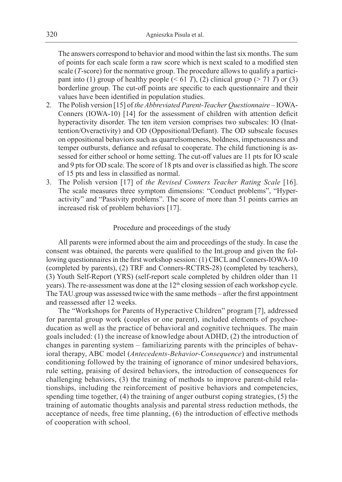The answers correspond to behavior and mood within the last six months. The sum of points for each scale form a raw score which is next scaled to a modified sten scale (*T*-score) for the normative group. The procedure allows to qualify a participant into (1) group of healthy people  $( $61 \text{ } T$ ), (2) clinical group  $(> 71 \text{ } T)$  or (3)$ borderline group. The cut-off points are specific to each questionnaire and their values have been identified in population studies.

- 2. The Polish version [15] of *the Abbreviated Parent-Teacher Questionnaire*  IOWA-Conners (IOWA-10) [14] for the assessment of children with attention deficit hyperactivity disorder. The ten item version comprises two subscales: IO (Inattention/Overactivity) and OD (Oppositional/Defiant). The OD subscale focuses on oppositional behaviors such as quarrelsomeness, boldness, impetuousness and temper outbursts, defiance and refusal to cooperate. The child functioning is assessed for either school or home setting. The cut-off values are 11 pts for IO scale and 9 pts for OD scale. The score of 18 pts and over is classified as high. The score of 15 pts and less in classified as normal.
- 3. The Polish version [17] of *the Revised Conners Teacher Rating Scale* [16]. The scale measures three symptom dimensions: "Conduct problems", "Hyperactivity" and "Passivity problems". The score of more than 51 points carries an increased risk of problem behaviors [17].

## Procedure and proceedings of the study

All parents were informed about the aim and proceedings of the study. In case the consent was obtained, the parents were qualified to the Int.group and given the following questionnaires in the first workshop session: (1) CBCL and Conners-IOWA-10 (completed by parents), (2) TRF and Conners-RCTRS-28) (completed by teachers), (3) Youth Self-Report (YRS) (self-report scale completed by children older than 11 years). The re-assessment was done at the 12<sup>th</sup> closing session of each workshop cycle. The TAU.group was assessed twice with the same methods – after the first appointment and reassessed after 12 weeks.

The "Workshops for Parents of Hyperactive Children" program [7], addressed for parental group work (couples or one parent), included elements of psychoeducation as well as the practice of behavioral and cognitive techniques. The main goals included: (1) the increase of knowledge about ADHD, (2) the introduction of changes in parenting system – familiarizing parents with the principles of behavioral therapy, ABC model (*Antecedents-Behavior-Consequence*) and instrumental conditioning followed by the training of ignorance of minor undesired behaviors, rule setting, praising of desired behaviors, the introduction of consequences for challenging behaviors, (3) the training of methods to improve parent-child relationships, including the reinforcement of positive behaviors and competencies, spending time together, (4) the training of anger outburst coping strategies, (5) the training of automatic thoughts analysis and parental stress reduction methods, the acceptance of needs, free time planning, (6) the introduction of effective methods of cooperation with school.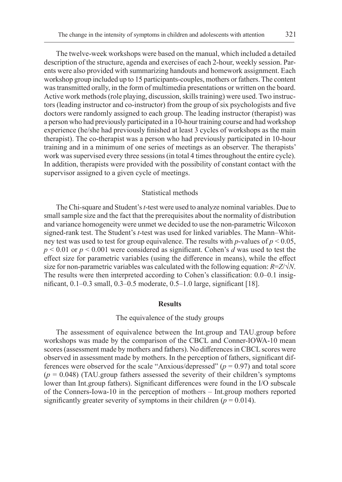The twelve-week workshops were based on the manual, which included a detailed description of the structure, agenda and exercises of each 2-hour, weekly session. Parents were also provided with summarizing handouts and homework assignment. Each workshop group included up to 15 participants-couples, mothers or fathers. The content was transmitted orally, in the form of multimedia presentations or written on the board. Active work methods (role playing, discussion, skills training) were used. Two instructors (leading instructor and co-instructor) from the group of six psychologists and five doctors were randomly assigned to each group. The leading instructor (therapist) was a person who had previously participated in a 10-hour training course and had workshop experience (he/she had previously finished at least 3 cycles of workshops as the main therapist). The co-therapist was a person who had previously participated in 10-hour training and in a minimum of one series of meetings as an observer. The therapists' work was supervised every three sessions (in total 4 times throughout the entire cycle). In addition, therapists were provided with the possibility of constant contact with the supervisor assigned to a given cycle of meetings.

#### Statistical methods

The Chi-square and Student's *t*-test were used to analyze nominal variables. Due to small sample size and the fact that the prerequisites about the normality of distribution and variance homogeneity were unmet we decided to use the non-parametric Wilcoxon signed-rank test. The Student's *t*-test was used for linked variables. The Mann–Whitney test was used to test for group equivalence. The results with *p*-values of  $p < 0.05$ , *p* < 0.01 or *p* < 0.001 were considered as significant. Cohen's *d* was used to test the effect size for parametric variables (using the difference in means), while the effect size for non-parametric variables was calculated with the following equation: *R*=*Z*/√*N*. The results were then interpreted according to Cohen's classification: 0.0–0.1 insignificant, 0.1–0.3 small, 0.3–0.5 moderate, 0.5–1.0 large, significant [18].

#### **Results**

## The equivalence of the study groups

The assessment of equivalence between the Int.group and TAU.group before workshops was made by the comparison of the CBCL and Conner-IOWA-10 mean scores (assessment made by mothers and fathers). No differences in CBCL scores were observed in assessment made by mothers. In the perception of fathers, significant differences were observed for the scale "Anxious/depressed" (*p* = 0.97) and total score  $(p = 0.048)$  (TAU group fathers assessed the severity of their children's symptoms lower than Int.group fathers). Significant differences were found in the I/O subscale of the Conners-Iowa-10 in the perception of mothers – Int.group mothers reported significantly greater severity of symptoms in their children  $(p = 0.014)$ .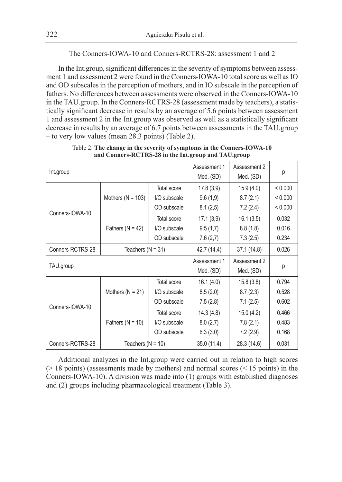# The Conners-IOWA-10 and Conners-RCTRS-28: assessment 1 and 2

In the Int.group, significant differences in the severity of symptoms between assessment 1 and assessment 2 were found in the Conners-IOWA-10 total score as well as IO and OD subscales in the perception of mothers, and in IO subscale in the perception of fathers. No differences between assessments were observed in the Conners-IOWA-10 in the TAU.group. In the Conners-RCTRS-28 (assessment made by teachers), a statistically significant decrease in results by an average of 5.6 points between assessment 1 and assessment 2 in the Int.group was observed as well as a statistically significant decrease in results by an average of 6.7 points between assessments in the TAU.group – to very low values (mean 28.3 points) (Table 2).

| Int.group        |                                      |              | Assessment 1<br>Med. (SD) | Assessment 2<br>Med. (SD) | р       |
|------------------|--------------------------------------|--------------|---------------------------|---------------------------|---------|
|                  |                                      | Total score  | 17.8(3,9)                 | 15.9(4.0)                 | < 0.000 |
|                  | Mothers ( $N = 103$ )                | I/O subscale | 9.6(1,9)                  | 8.7(2.1)                  | < 0.000 |
| Conners-IOWA-10  |                                      | OD subscale  | 8.1(2,5)                  | 7.2(2.4)                  | < 0.000 |
|                  |                                      | Total score  | 17.1(3,9)                 | 16.1(3.5)                 | 0.032   |
|                  | Fathers ( $N = 42$ )<br>I/O subscale |              | 9.5(1,7)                  | 8.8(1.8)                  | 0.016   |
|                  |                                      | OD subscale  | 7.6(2,7)                  | 7.3(2.5)                  | 0.234   |
| Conners-RCTRS-28 | Teachers $(N = 31)$                  |              | 42.7 (14,4)               | 37.1 (14.8)               | 0.026   |
|                  |                                      |              |                           |                           |         |
|                  |                                      |              | Assessment 1              | Assessment 2              |         |
| TAU.group        |                                      |              | Med. (SD)                 | Med. (SD)                 | р       |
|                  |                                      | Total score  | 16.1(4.0)                 | 15.8(3.8)                 | 0.794   |
|                  | Mothers $(N = 21)$                   | I/O subscale | 8.5(2.0)                  | 8.7(2.3)                  | 0.528   |
|                  |                                      | OD subscale  | 7.5(2.8)                  | 7.1(2.5)                  | 0.602   |
| Conners-IOWA-10  |                                      | Total score  | 14.3(4.8)                 | 15.0(4.2)                 | 0.466   |
|                  | Fathers $(N = 10)$                   | I/O subscale | 8.0(2.7)                  | 7.8(2.1)                  | 0.483   |
|                  |                                      | OD subscale  | 6.3(3.0)                  | 7.2(2.9)                  | 0.168   |

Table 2. **The change in the severity of symptoms in the Conners-IOWA-10 and Conners-RCTRS-28 in the Int.group and TAU.group**

Additional analyzes in the Int.group were carried out in relation to high scores  $(> 18 \text{ points})$  (assessments made by mothers) and normal scores  $(< 15 \text{ points})$  in the Conners-IOWA-10). A division was made into (1) groups with established diagnoses and (2) groups including pharmacological treatment (Table 3).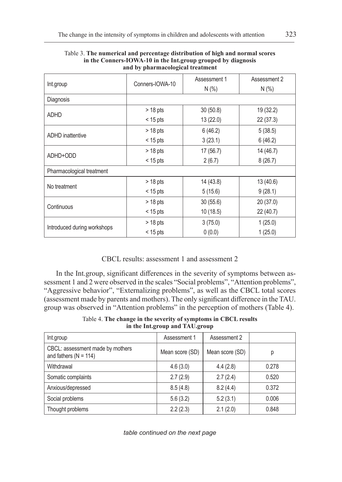|                             |                 | Assessment 1 | Assessment 2 |
|-----------------------------|-----------------|--------------|--------------|
| Int.group                   | Conners-IOWA-10 | N(% )        | N(% )        |
| Diagnosis                   |                 |              |              |
|                             | $> 18$ pts      | 30(50.8)     | 19 (32.2)    |
| <b>ADHD</b>                 | $<$ 15 pts      | 13 (22.0)    | 22 (37.3)    |
| <b>ADHD</b> inattentive     | $> 18$ pts      | 6(46.2)      | 5(38.5)      |
|                             | $<$ 15 pts      | 3(23.1)      | 6(46.2)      |
| ADHD+ODD                    | $>$ 18 pts      | 17(56.7)     | 14 (46.7)    |
|                             | $<$ 15 pts      | 2(6.7)       | 8(26.7)      |
| Pharmacological treatment   |                 |              |              |
| No treatment                | $> 18$ pts      | 14(43.8)     | 13 (40.6)    |
|                             | $<$ 15 pts      | 5(15.6)      | 9(28.1)      |
| Continuous                  | $>$ 18 pts      | 30(55.6)     | 20(37.0)     |
|                             | $<$ 15 pts      | 10 (18.5)    | 22 (40.7)    |
|                             | $>$ 18 pts      | 3(75.0)      | 1(25.0)      |
| Introduced during workshops | $<$ 15 pts      | 0(0.0)       | 1(25.0)      |

| Table 3. The numerical and percentage distribution of high and normal scores |
|------------------------------------------------------------------------------|
| in the Conners-IOWA-10 in the Int.group grouped by diagnosis                 |
| and by pharmacological treatment                                             |

# CBCL results: assessment 1 and assessment 2

In the Int.group, significant differences in the severity of symptoms between assessment 1 and 2 were observed in the scales "Social problems", "Attention problems", "Aggressive behavior", "Externalizing problems", as well as the CBCL total scores (assessment made by parents and mothers). The only significant difference in the TAU. group was observed in "Attention problems" in the perception of mothers (Table 4).

Table 4. **The change in the severity of symptoms in CBCL results in the Int.group and TAU.group**

| Int.group                                                     | Assessment 1    | Assessment 2    |       |
|---------------------------------------------------------------|-----------------|-----------------|-------|
| CBCL: assessment made by mothers<br>and fathers ( $N = 114$ ) | Mean score (SD) | Mean score (SD) | р     |
| Withdrawal                                                    | 4.6(3.0)        | 4.4(2.8)        | 0.278 |
| Somatic complaints                                            | 2.7(2.9)        | 2.7(2.4)        | 0.520 |
| Anxious/depressed                                             | 8.5(4.8)        | 8.2(4.4)        | 0.372 |
| Social problems                                               | 5.6(3.2)        | 5.2(3.1)        | 0.006 |
| Thought problems                                              | 2.2(2.3)        | 2.1(2.0)        | 0.848 |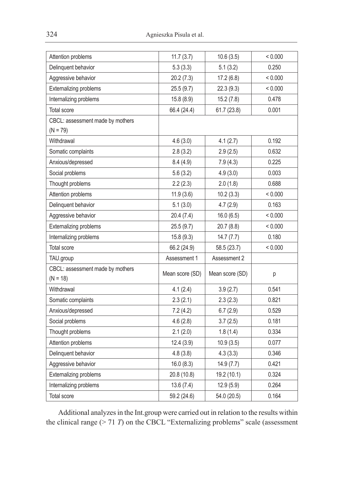| Attention problems                             | 11.7(3.7)       | 10.6(3.5)       | < 0.000 |
|------------------------------------------------|-----------------|-----------------|---------|
| Delinquent behavior                            | 5.3(3.3)        | 5.1(3.2)        | 0.250   |
| Aggressive behavior                            | 20.2(7.3)       | 17.2 (6.8)      | < 0.000 |
| Externalizing problems                         | 25.5 (9.7)      | 22.3(9.3)       | < 0.000 |
| Internalizing problems                         | 15.8 (8.9)      | 15.2(7.8)       | 0.478   |
| <b>Total score</b>                             | 66.4 (24.4)     | 61.7(23.8)      | 0.001   |
| CBCL: assessment made by mothers               |                 |                 |         |
| $(N = 79)$                                     |                 |                 |         |
| Withdrawal                                     | 4.6(3.0)        | 4.1(2.7)        | 0.192   |
| Somatic complaints                             | 2.8(3.2)        | 2.9(2.5)        | 0.632   |
| Anxious/depressed                              | 8.4(4.9)        | 7.9(4.3)        | 0.225   |
| Social problems                                | 5.6(3.2)        | 4.9(3.0)        | 0.003   |
| Thought problems                               | 2.2(2.3)        | 2.0(1.8)        | 0.688   |
| Attention problems                             | 11.9(3.6)       | 10.2(3.3)       | < 0.000 |
| Delinquent behavior                            | 5.1(3.0)        | 4.7(2.9)        | 0.163   |
| Aggressive behavior                            | 20.4 (7.4)      | 16.0(6.5)       | < 0.000 |
| Externalizing problems                         | 25.5 (9.7)      | 20.7 (8.8)      | < 0.000 |
| Internalizing problems                         | 15.8(9.3)       | 14.7(7.7)       | 0.180   |
| <b>Total score</b>                             | 66.2 (24.9)     | 58.5 (23.7)     | < 0.000 |
| TAU.group                                      | Assessment 1    | Assessment 2    |         |
| CBCL: assessment made by mothers<br>$(N = 18)$ | Mean score (SD) | Mean score (SD) | р       |
| Withdrawal                                     | 4.1(2.4)        | 3.9(2.7)        | 0.541   |
| Somatic complaints                             | 2.3(2.1)        | 2.3(2.3)        | 0.821   |
| Anxious/depressed                              | 7.2(4.2)        | 6.7(2.9)        | 0.529   |
| Social problems                                | 4.6(2.8)        | 3.7(2.5)        | 0.181   |
| Thought problems                               | 2.1(2.0)        | 1.8(1.4)        | 0.334   |
| Attention problems                             | 12.4 (3.9)      | 10.9(3.5)       | 0.077   |
| Delinquent behavior                            | 4.8(3.8)        | 4.3(3.3)        | 0.346   |
| Aggressive behavior                            | 16.0(8.3)       | 14.9(7.7)       | 0.421   |
| <b>Externalizing problems</b>                  | 20.8 (10.8)     | 19.2 (10.1)     | 0.324   |
| Internalizing problems                         | 13.6(7.4)       | 12.9(5.9)       | 0.264   |
| <b>Total score</b>                             | 59.2 (24.6)     | 54.0 (20.5)     | 0.164   |

Additional analyzes in the Int.group were carried out in relation to the results within the clinical range (> 71 *T*) on the CBCL "Externalizing problems" scale (assessment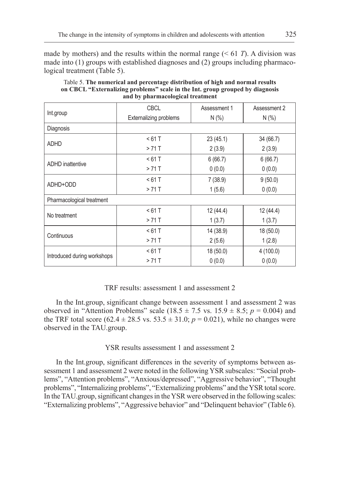made by mothers) and the results within the normal range  $(61 T)$ . A division was made into (1) groups with established diagnoses and (2) groups including pharmacological treatment (Table 5).

|                             | <b>CBCL</b>                   | Assessment 1 | Assessment 2 |
|-----------------------------|-------------------------------|--------------|--------------|
| Int.group                   | <b>Externalizing problems</b> | N(% )        | N(%          |
| Diagnosis                   |                               |              |              |
| <b>ADHD</b>                 | < 61 T                        | 23(45.1)     | 34 (66.7)    |
|                             | $>71$ T                       | 2(3.9)       | 2(3.9)       |
| <b>ADHD</b> inattentive     | < 61 T                        | 6(66.7)      | 6(66.7)      |
|                             | $>71$ T                       | 0(0.0)       | 0(0.0)       |
| ADHD+ODD                    | < 61 T                        | 7(38.9)      | 9(50.0)      |
|                             | $>71$ T<br>1(5.6)             |              | 0(0.0)       |
| Pharmacological treatment   |                               |              |              |
| No treatment                | < 61 T                        | 12 (44.4)    | 12 (44.4)    |
|                             | $>71$ T                       | 1(3.7)       | 1(3.7)       |
| Continuous                  | < 61 T                        | 14 (38.9)    | 18 (50.0)    |
|                             | $>71$ T                       | 2(5.6)       | 1(2.8)       |
|                             | < 61 T                        | 18 (50.0)    | 4(100.0)     |
| Introduced during workshops | $>71$ T                       | 0(0.0)       | 0(0.0)       |

Table 5. **The numerical and percentage distribution of high and normal results on CBCL "Externalizing problems" scale in the Int. group grouped by diagnosis and by pharmacological treatment**

# TRF results: assessment 1 and assessment 2

In the Int.group, significant change between assessment 1 and assessment 2 was observed in "Attention Problems" scale  $(18.5 \pm 7.5 \text{ vs. } 15.9 \pm 8.5; p = 0.004)$  and the TRF total score  $(62.4 \pm 28.5 \text{ vs. } 53.5 \pm 31.0; p = 0.021)$ , while no changes were observed in the TAU.group.

# YSR results assessment 1 and assessment 2

In the Int.group, significant differences in the severity of symptoms between assessment 1 and assessment 2 were noted in the following YSR subscales: "Social problems", "Attention problems", "Anxious/depressed", "Aggressive behavior", "Thought problems", "Internalizing problems", "Externalizing problems" and the YSR total score. In the TAU.group, significant changes in the YSR were observed in the following scales: "Externalizing problems", "Aggressive behavior" and "Delinquent behavior" (Table 6).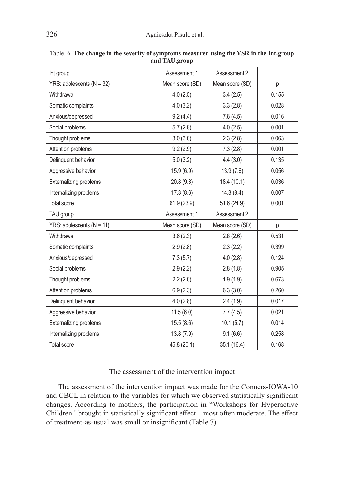| Int.group                   | Assessment 1    | Assessment 2    |       |
|-----------------------------|-----------------|-----------------|-------|
| YRS: adolescents $(N = 32)$ | Mean score (SD) | Mean score (SD) | р     |
| Withdrawal                  | 4.0(2.5)        | 3.4(2.5)        | 0.155 |
| Somatic complaints          | 4.0(3.2)        | 3.3(2.8)        | 0.028 |
| Anxious/depressed           | 9.2(4.4)        | 7.6(4.5)        | 0.016 |
| Social problems             | 5.7(2.8)        | 4.0(2.5)        | 0.001 |
| Thought problems            | 3.0(3.0)        | 2.3(2.8)        | 0.063 |
| Attention problems          | 9.2(2.9)        | 7.3(2.8)        | 0.001 |
| Delinquent behavior         | 5.0(3.2)        | 4.4(3.0)        | 0.135 |
| Aggressive behavior         | 15.9 (6.9)      | 13.9(7.6)       | 0.056 |
| Externalizing problems      | 20.8 (9.3)      | 18.4 (10.1)     | 0.036 |
| Internalizing problems      | 17.3(8.6)       | 14.3(8.4)       | 0.007 |
| Total score                 | 61.9 (23.9)     | 51.6 (24.9)     | 0.001 |
| TAU.group                   | Assessment 1    | Assessment 2    |       |
| YRS: adolescents $(N = 11)$ | Mean score (SD) | Mean score (SD) | р     |
| Withdrawal                  | 3.6(2.3)        | 2.8(2.6)        | 0.531 |
| Somatic complaints          | 2.9(2.8)        | 2.3(2.2)        | 0.399 |
| Anxious/depressed           | 7.3(5.7)        | 4.0(2.8)        | 0.124 |
| Social problems             | 2.9(2.2)        | 2.8(1.8)        | 0.905 |
| Thought problems            | 2.2(2.0)        | 1.9(1.9)        | 0.673 |
| Attention problems          | 6.9(2.3)        | 6.3(3.0)        | 0.260 |
| Delinquent behavior         | 4.0(2.8)        | 2.4(1.9)        | 0.017 |
| Aggressive behavior         | 11.5(6.0)       | 7.7(4.5)        | 0.021 |
| Externalizing problems      | 15.5(8.6)       | 10.1(5.7)       | 0.014 |
| Internalizing problems      | 13.8(7.9)       | 9.1(6.6)        | 0.258 |
| <b>Total score</b>          | 45.8 (20.1)     | 35.1 (16.4)     | 0.168 |

Table. 6. **The change in the severity of symptoms measured using the YSR in the Int.group and TAU.group**

# The assessment of the intervention impact

The assessment of the intervention impact was made for the Conners-IOWA-10 and CBCL in relation to the variables for which we observed statistically significant changes. According to mothers, the participation in "Workshops for Hyperactive Children*"* brought in statistically significant effect – most often moderate. The effect of treatment-as-usual was small or insignificant (Table 7).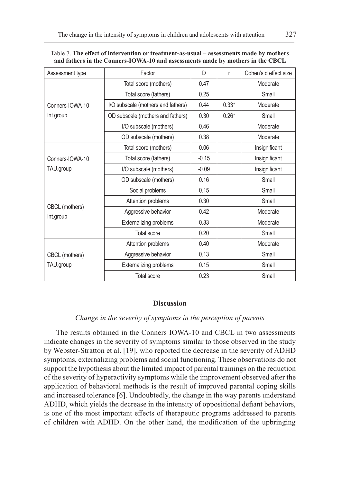| Assessment type             | Factor                             | D.      | r       | Cohen's d effect size |
|-----------------------------|------------------------------------|---------|---------|-----------------------|
|                             | Total score (mothers)              | 0.47    |         | Moderate              |
|                             | Total score (fathers)              | 0.25    |         | Small                 |
| Conners-IOWA-10             | I/O subscale (mothers and fathers) | 0.44    | $0.33*$ | Moderate              |
| Int.group                   | OD subscale (mothers and fathers)  | 0.30    | $0.26*$ | Small                 |
|                             | I/O subscale (mothers)             | 0.46    |         | Moderate              |
|                             | OD subscale (mothers)              | 0.38    |         | Moderate              |
|                             | Total score (mothers)              | 0.06    |         | Insignificant         |
| Conners-IOWA-10             | Total score (fathers)              | $-0.15$ |         | Insignificant         |
| TAU.group                   | I/O subscale (mothers)             | $-0.09$ |         | Insignificant         |
|                             | OD subscale (mothers)              | 0.16    |         | Small                 |
|                             | Social problems                    | 0.15    |         | Small                 |
|                             | Attention problems                 | 0.30    |         | Small                 |
| CBCL (mothers)<br>Int.group | Aggressive behavior                | 0.42    |         | Moderate              |
|                             | <b>Externalizing problems</b>      | 0.33    |         | Moderate              |
|                             | Total score                        | 0.20    |         | Small                 |
|                             | Attention problems                 | 0.40    |         | Moderate              |
| CBCL (mothers)              | Aggressive behavior                | 0.13    |         | Small                 |
| TAU.group                   | Externalizing problems             | 0.15    |         | Small                 |
|                             | <b>Total score</b>                 | 0.23    |         | Small                 |

| Table 7. The effect of intervention or treatment-as-usual – assessments made by mothers |
|-----------------------------------------------------------------------------------------|
| and fathers in the Conners-IOWA-10 and assessments made by mothers in the CBCL          |

# **Discussion**

#### *Change in the severity of symptoms in the perception of parents*

The results obtained in the Conners IOWA-10 and CBCL in two assessments indicate changes in the severity of symptoms similar to those observed in the study by Webster-Stratton et al. [19], who reported the decrease in the severity of ADHD symptoms, externalizing problems and social functioning. These observations do not support the hypothesis about the limited impact of parental trainings on the reduction of the severity of hyperactivity symptoms while the improvement observed after the application of behavioral methods is the result of improved parental coping skills and increased tolerance [6]. Undoubtedly, the change in the way parents understand ADHD, which yields the decrease in the intensity of oppositional defiant behaviors, is one of the most important effects of therapeutic programs addressed to parents of children with ADHD. On the other hand, the modification of the upbringing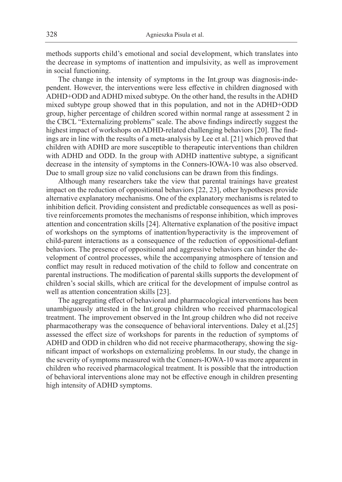methods supports child's emotional and social development, which translates into the decrease in symptoms of inattention and impulsivity, as well as improvement in social functioning.

The change in the intensity of symptoms in the Int.group was diagnosis-independent. However, the interventions were less effective in children diagnosed with ADHD+ODD and ADHD mixed subtype. On the other hand, the results in the ADHD mixed subtype group showed that in this population, and not in the ADHD+ODD group, higher percentage of children scored within normal range at assessment 2 in the CBCL "Externalizing problems" scale. The above findings indirectly suggest the highest impact of workshops on ADHD-related challenging behaviors [20]. The findings are in line with the results of a meta-analysis by Lee et al. [21] which proved that children with ADHD are more susceptible to therapeutic interventions than children with ADHD and ODD. In the group with ADHD inattentive subtype, a significant decrease in the intensity of symptoms in the Conners-IOWA-10 was also observed. Due to small group size no valid conclusions can be drawn from this findings.

Although many researchers take the view that parental trainings have greatest impact on the reduction of oppositional behaviors [22, 23], other hypotheses provide alternative explanatory mechanisms. One of the explanatory mechanisms is related to inhibition deficit. Providing consistent and predictable consequences as well as positive reinforcements promotes the mechanisms of response inhibition, which improves attention and concentration skills [24]. Alternative explanation of the positive impact of workshops on the symptoms of inattention/hyperactivity is the improvement of child-parent interactions as a consequence of the reduction of oppositional-defiant behaviors. The presence of oppositional and aggressive behaviors can hinder the development of control processes, while the accompanying atmosphere of tension and conflict may result in reduced motivation of the child to follow and concentrate on parental instructions. The modification of parental skills supports the development of children's social skills, which are critical for the development of impulse control as well as attention concentration skills [23].

The aggregating effect of behavioral and pharmacological interventions has been unambiguously attested in the Int.group children who received pharmacological treatment. The improvement observed in the Int.group children who did not receive pharmacotherapy was the consequence of behavioral interventions. Daley et al.[25] assessed the effect size of workshops for parents in the reduction of symptoms of ADHD and ODD in children who did not receive pharmacotherapy, showing the significant impact of workshops on externalizing problems. In our study, the change in the severity of symptoms measured with the Conners-IOWA-10 was more apparent in children who received pharmacological treatment. It is possible that the introduction of behavioral interventions alone may not be effective enough in children presenting high intensity of ADHD symptoms.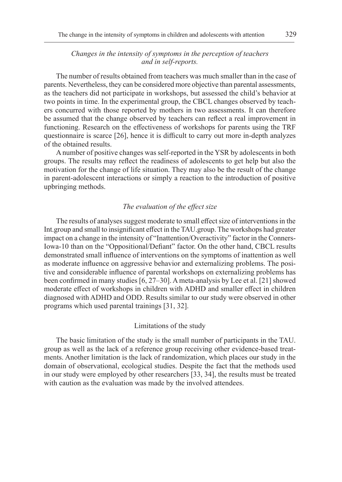# *Changes in the intensity of symptoms in the perception of teachers and in self-reports.*

The number of results obtained from teachers was much smaller than in the case of parents. Nevertheless, they can be considered more objective than parental assessments, as the teachers did not participate in workshops, but assessed the child's behavior at two points in time. In the experimental group, the CBCL changes observed by teachers concurred with those reported by mothers in two assessments. It can therefore be assumed that the change observed by teachers can reflect a real improvement in functioning. Research on the effectiveness of workshops for parents using the TRF questionnaire is scarce [26], hence it is difficult to carry out more in-depth analyzes of the obtained results.

A number of positive changes was self-reported in the YSR by adolescents in both groups. The results may reflect the readiness of adolescents to get help but also the motivation for the change of life situation. They may also be the result of the change in parent-adolescent interactions or simply a reaction to the introduction of positive upbringing methods.

#### *The evaluation of the effect size*

The results of analyses suggest moderate to small effect size of interventions in the Int.group and small to insignificant effect in the TAU.group. The workshops had greater impact on a change in the intensity of "Inattention/Overactivity" factor in the Conners-Iowa-10 than on the "Oppositional/Defiant" factor. On the other hand, CBCL results demonstrated small influence of interventions on the symptoms of inattention as well as moderate influence on aggressive behavior and externalizing problems. The positive and considerable influence of parental workshops on externalizing problems has been confirmed in many studies [6, 27–30]. A meta-analysis by Lee et al. [21] showed moderate effect of workshops in children with ADHD and smaller effect in children diagnosed with ADHD and ODD. Results similar to our study were observed in other programs which used parental trainings [31, 32].

## Limitations of the study

The basic limitation of the study is the small number of participants in the TAU. group as well as the lack of a reference group receiving other evidence-based treatments. Another limitation is the lack of randomization, which places our study in the domain of observational, ecological studies. Despite the fact that the methods used in our study were employed by other researchers [33, 34], the results must be treated with caution as the evaluation was made by the involved attendees.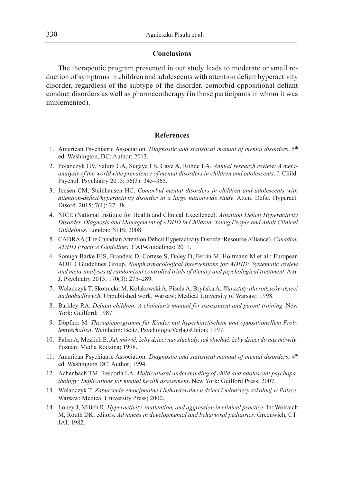## **Conclusions**

The therapeutic program presented in our study leads to moderate or small reduction of symptoms in children and adolescents with attention deficit hyperactivity disorder, regardless of the subtype of the disorder, comorbid oppositional defiant conduct disorders as well as pharmacotherapy (in those participants in whom it was implemented).

# **References**

- 1. American Psychiatric Association. *Diagnostic and statistical manual of mental disorders*, 5th ed. Washington, DC: Author; 2013.
- 2. Polanczyk GV, Salum GA, Sugaya LS, Caye A, Rohde LA. *Annual research review: A metaanalysis of the worldwide prevalence of mental disorders in children and adolescents*. J. Child. Psychol. Psychiatry 2015; 56(3): 345–365.
- 3. Jensen CM, Steinhausen HC. *Comorbid mental disorders in children and adolescents with attention-deficit/hyperactivity disorder in a large nationwide study*. Atten. Defic. Hyperact. Disord. 2015; 7(1): 27–38.
- 4. NICE (National Institute for Health and Clinical Excellence). *Attention Deficit Hyperactivity Disorder. Diagnosis and Management of ADHD in Children, Young People and Adult Clinical Guidelines*. London: NHS; 2008.
- 5. CADRAA (The Canadian Attention Deficit Hyperactivity Disorder Resource Alliance). *Canadian ADHD Practice Guidelines*. CAP-Guidelines; 2011.
- 6. Sonuga-Barke EJS, Brandeis D, Cortese S, Daley D, Ferrin M, Holtmann M et al.; European ADHD Guidelines Group. *Nonpharmacological interventions for ADHD: Systematic review and meta-analyses of randomized controlled trials of dietary and psychological treatment*. Am. J. Psychiatry 2013; 170(3): 275–289.
- 7. Wolańczyk T, Skotnicka M, Kołakowski A, Pisula A, Bryńska A. *Warsztaty dla rodziców dzieci nadpobudliwych*. Unpublished work. Warsaw; Medical University of Warsaw: 1998.
- 8. Barkley RA. *Defiant children: A clinician's manual for assessment and parent training*. New York: Guilford; 1987.
- 9. Döpfner M. *Therapieprogramm für Kinder mit hyperkinetischem und oppositionellem Problemverhalten*. Weinheim: Beltz, PsychologieVerlagsUnion; 1997.
- 10. Faber A, Mezlich E. *Jak mówić, żeby dzieci nas słuchały, jak słuchać, żeby dzieci do nas mówiły*. Poznan: Media Rodzina; 1998.
- 11. American Psychiatric Association. *Diagnostic and statistical manual of mental disorders*, 4th ed. Washington DC: Author; 1994.
- 12. Achenbach TM, Rescorla LA. *Multicultural understanding of child and adolescent psychopathology: Implications for mental health assessment*. New York: Guilford Press; 2007.
- 13. Wolańczyk T. *Zaburzenia emocjonalne i behawioralne u dzieci i młodzieży szkolnej w Polsce*. Warsaw: Medical University Press; 2000.
- 14. Loney J, Milich R. *Hyperactivity, inattention, and aggression in clinical practice*. In: Wolraich M, Routh DK, editors. *Advances in developmental and behavioral pediatrics*. Greenwich, CT: JAI; 1982.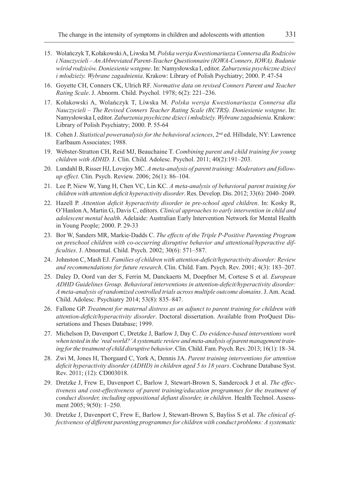- 15. Wolańczyk T, Kołakowski A, Liwska M. *Polska wersja Kwestionariusza Connersa dla Rodziców i Nauczycieli – An Abbreviated Parent-Teacher Questionnaire (IOWA-Conners, IOWA). Badanie wśród rodziców. Doniesienie wstępne*. In: Namysłowska I, editor. *Zaburzenia psychiczne dzieci i młodzieży. Wybrane zagadnienia*. Krakow: Library of Polish Psychiatry; 2000. P. 47-54
- 16. Goyette CH, Conners CK, Ulrich RF. *Normative data on revised Conners Parent and Teacher Rating Scale*. J. Abnorm. Child. Psychol. 1978; 6(2): 221–236.
- 17. Kołakowski A, Wolańczyk T, Liwska M. *Polska wersja Kwestionariusza Connersa dla Nauczycieli – The Revised Conners Teacher Rating Scale (RCTRS). Doniesienie wstępne*. In: Namysłowska I, editor. *Zaburzenia psychiczne dzieci i młodzieży. Wybrane zagadnienia*. Krakow: Library of Polish Psychiatry; 2000. P. 55-64
- 18. Cohen J. *Statistical poweranalysis for the behavioral sciences*, 2nd ed. Hillsdale, NY: Lawrence Earlbaum Associates; 1988.
- 19. Webster-Stratton CH, Reid MJ, Beauchaine T. *Combining parent and child training for young children with ADHD*. J. Clin. Child. Adolesc. Psychol. 2011; 40(2):191–203.
- 20. Lundahl B, Risser HJ, Lovejoy MC. *A meta-analysis of parent training: Moderators and followup effect*. Clin. Psych. Review. 2006; 26(1): 86–104.
- 21. Lee P, Niew W, Yang H, Chen VC, Lin KC. *A meta-analysis of behavioral parent training for children with attention deficit hyperactivity disorder*. Res. Develop. Dis. 2012; 33(6): 2040–2049.
- 22. Hazell P. *Attention deficit hyperactivity disorder in pre-school aged children*. In: Kosky R, O'Hanlon A, Martin G, Davis C, editors. *Clinical approaches to early intervention in child and adolescent mental health*. Adelaide: Australian Early Intervention Network for Mental Health in Young People; 2000. P. 29-33
- 23. Bor W, Sanders MR, Markie-Dadds C. *The effects of the Triple P-Positive Parenting Program on preschool children with co-occurring disruptive behavior and attentional/hyperactive difficulties*. J. Abnormal. Child. Psych. 2002; 30(6): 571–587.
- 24. Johnston C, Mash EJ. *Families of children with attention-deficit/hyperactivity disorder: Review and recommendations for future research*. Clin. Child. Fam. Psych. Rev. 2001; 4(3): 183–207.
- 25. Daley D, Oord van der S, Ferrin M, Danckaerts M, Doepfner M, Cortese S et al. *European ADHD Guidelines Group. Behavioral interventions in attention-deficit/hyperactivity disorder: A meta-analysis of randomized controlled trials across multiple outcome domains*. J. Am. Acad. Child. Adolesc. Psychiatry 2014; 53(8): 835–847.
- 26. Fallone GP. *Treatment for maternal distress as an adjunct to parent training for children with attention-deficit/hyperactivity disorder*. Doctoral dissertation. Available from ProQuest Dissertations and Theses Database; 1999.
- 27. Michelson D, Davenport C, Dretzke J, Barlow J, Day C. *Do evidence-based interventions work when tested in the 'real world?' A systematic review and meta-analysis of parent management training for the treatment of child disruptive behavior*. Clin. Child. Fam. Psych. Rev. 2013; 16(1): 18–34.
- 28. Zwi M, Jones H, Thorgaard C, York A, Dennis JA. *Parent training interventions for attention deficit hyperactivity disorder (ADHD) in children aged 5 to 18 years*. Cochrane Database Syst. Rev. 2011; (12): CD003018.
- 29. Dretzke J, Frew E, Davenport C, Barlow J, Stewart-Brown S, Sandercock J et al. *The effectiveness and cost-effectiveness of parent training/education programmes for the treatment of conduct disorder, including oppositional defiant disorder, in children*. Health Technol. Assessment 2005; 9(50): 1–250.
- 30. Dretzke J, Davenport C, Frew E, Barlow J, Stewart-Brown S, Bayliss S et al. *The clinical effectiveness of different parenting programmes for children with conduct problems: A systematic*